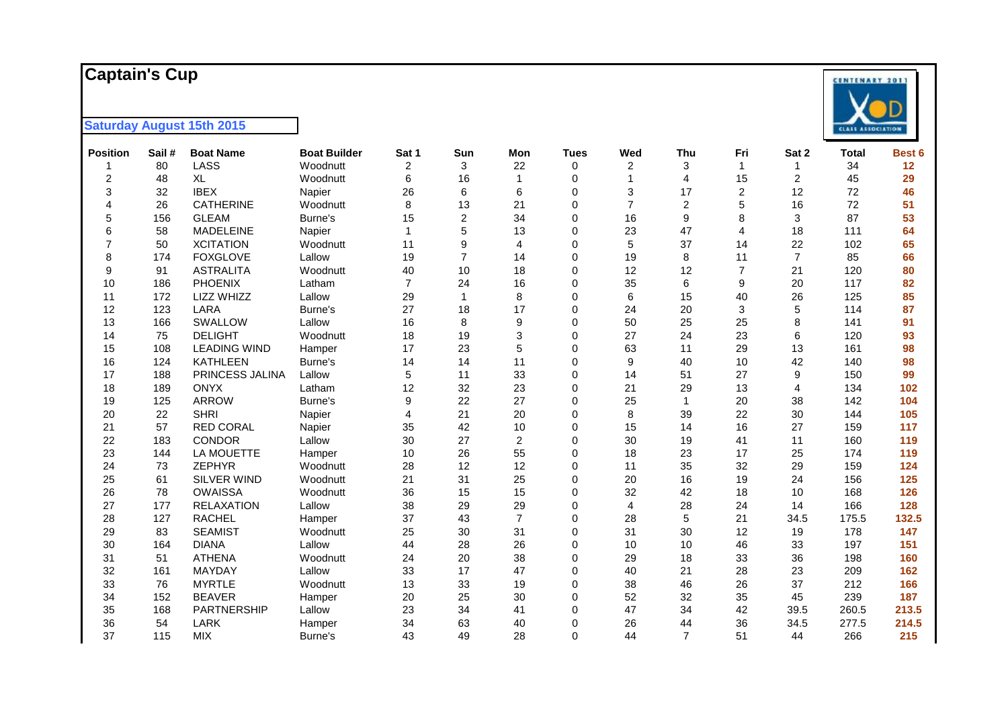#### **Captain's Cup**

| <b>Position</b> | Sail# | <b>Boat Name</b>    | <b>Boat Builder</b> | Sat 1          | Sun            | Mon            | <b>Tues</b> | Wed            | Thu              | Fri            | Sat 2          | <b>Total</b> | Best 6 |
|-----------------|-------|---------------------|---------------------|----------------|----------------|----------------|-------------|----------------|------------------|----------------|----------------|--------------|--------|
| 1               | 80    | LASS                | Woodnutt            | 2              | 3              | 22             | $\mathbf 0$ | 2              | 3                | $\mathbf{1}$   | 1              | 34           | 12     |
| $\sqrt{2}$      | 48    | <b>XL</b>           | Woodnutt            | 6              | 16             | 1              | 0           | $\overline{1}$ | 4                | 15             | $\overline{c}$ | 45           | 29     |
| 3               | 32    | <b>IBEX</b>         | Napier              | 26             | 6              | 6              | 0           | 3              | 17               | 2              | 12             | 72           | 46     |
| $\overline{4}$  | 26    | <b>CATHERINE</b>    | Woodnutt            | 8              | 13             | 21             | $\mathbf 0$ | $\overline{7}$ | $\overline{c}$   | 5              | 16             | 72           | 51     |
| 5               | 156   | <b>GLEAM</b>        | Burne's             | 15             | 2              | 34             | 0           | 16             | $\boldsymbol{9}$ | 8              | 3              | 87           | 53     |
| 6               | 58    | <b>MADELEINE</b>    | Napier              | 1              | 5              | 13             | $\mathbf 0$ | 23             | 47               | 4              | 18             | 111          | 64     |
| $\overline{7}$  | 50    | <b>XCITATION</b>    | Woodnutt            | 11             | 9              | 4              | $\mathbf 0$ | 5              | 37               | 14             | 22             | 102          | 65     |
| 8               | 174   | <b>FOXGLOVE</b>     | Lallow              | 19             | $\overline{7}$ | 14             | $\mathbf 0$ | 19             | 8                | 11             | $\overline{7}$ | 85           | 66     |
| 9               | 91    | <b>ASTRALITA</b>    | Woodnutt            | 40             | 10             | 18             | $\Omega$    | 12             | 12               | $\overline{7}$ | 21             | 120          | 80     |
| 10              | 186   | PHOENIX             | Latham              | $\overline{7}$ | 24             | 16             | $\mathbf 0$ | 35             | 6                | 9              | 20             | 117          | 82     |
| 11              | 172   | LIZZ WHIZZ          | Lallow              | 29             | $\mathbf{1}$   | 8              | $\Omega$    | 6              | 15               | 40             | 26             | 125          | 85     |
| 12              | 123   | LARA                | Burne's             | 27             | 18             | 17             | 0           | 24             | 20               | 3              | 5              | 114          | 87     |
| 13              | 166   | SWALLOW             | Lallow              | 16             | 8              | 9              | $\Omega$    | 50             | 25               | 25             | 8              | 141          | 91     |
| 14              | 75    | <b>DELIGHT</b>      | Woodnutt            | 18             | 19             | 3              | 0           | 27             | 24               | 23             | 6              | 120          | 93     |
| 15              | 108   | <b>LEADING WIND</b> | Hamper              | 17             | 23             | 5              | $\Omega$    | 63             | 11               | 29             | 13             | 161          | 98     |
| 16              | 124   | <b>KATHLEEN</b>     | Burne's             | 14             | 14             | 11             | $\mathbf 0$ | 9              | 40               | 10             | 42             | 140          | 98     |
| 17              | 188   | PRINCESS JALINA     | Lallow              | 5              | 11             | 33             | $\Omega$    | 14             | 51               | 27             | 9              | 150          | 99     |
| 18              | 189   | <b>ONYX</b>         | Latham              | 12             | 32             | 23             | $\mathbf 0$ | 21             | 29               | 13             | 4              | 134          | 102    |
| 19              | 125   | <b>ARROW</b>        | Burne's             | 9              | 22             | 27             | $\Omega$    | 25             | $\mathbf{1}$     | 20             | 38             | 142          | 104    |
| 20              | 22    | <b>SHRI</b>         | Napier              | 4              | 21             | 20             | $\mathbf 0$ | 8              | 39               | 22             | 30             | 144          | 105    |
| 21              | 57    | <b>RED CORAL</b>    | Napier              | 35             | 42             | 10             | $\Omega$    | 15             | 14               | 16             | 27             | 159          | 117    |
| 22              | 183   | <b>CONDOR</b>       | Lallow              | 30             | 27             | $\overline{c}$ | $\Omega$    | 30             | 19               | 41             | 11             | 160          | 119    |
| 23              | 144   | LA MOUETTE          | Hamper              | 10             | 26             | 55             | $\mathbf 0$ | 18             | 23               | 17             | 25             | 174          | 119    |
| 24              | 73    | <b>ZEPHYR</b>       | Woodnutt            | 28             | 12             | 12             | $\Omega$    | 11             | 35               | 32             | 29             | 159          | 124    |
| 25              | 61    | SILVER WIND         | Woodnutt            | 21             | 31             | 25             | $\mathbf 0$ | 20             | 16               | 19             | 24             | 156          | 125    |
| 26              | 78    | <b>OWAISSA</b>      | Woodnutt            | 36             | 15             | 15             | $\Omega$    | 32             | 42               | 18             | 10             | 168          | 126    |
| 27              | 177   | <b>RELAXATION</b>   | Lallow              | 38             | 29             | 29             | $\Omega$    | $\overline{4}$ | 28               | 24             | 14             | 166          | 128    |
| 28              | 127   | <b>RACHEL</b>       | Hamper              | 37             | 43             | $\overline{7}$ | $\Omega$    | 28             | 5                | 21             | 34.5           | 175.5        | 132.5  |
| 29              | 83    | <b>SEAMIST</b>      | Woodnutt            | 25             | 30             | 31             | $\Omega$    | 31             | 30               | 12             | 19             | 178          | 147    |
| 30              | 164   | <b>DIANA</b>        | Lallow              | 44             | 28             | 26             | $\Omega$    | 10             | 10               | 46             | 33             | 197          | 151    |
| 31              | 51    | <b>ATHENA</b>       | Woodnutt            | 24             | 20             | 38             | $\mathbf 0$ | 29             | 18               | 33             | 36             | 198          | 160    |
| 32              | 161   | <b>MAYDAY</b>       | Lallow              | 33             | 17             | 47             | $\mathbf 0$ | 40             | 21               | 28             | 23             | 209          | 162    |
| 33              | 76    | <b>MYRTLE</b>       | Woodnutt            | 13             | 33             | 19             | $\mathbf 0$ | 38             | 46               | 26             | 37             | 212          | 166    |
| 34              | 152   | <b>BEAVER</b>       | Hamper              | 20             | 25             | 30             | $\mathbf 0$ | 52             | 32               | 35             | 45             | 239          | 187    |
| 35              | 168   | PARTNERSHIP         | Lallow              | 23             | 34             | 41             | $\mathbf 0$ | 47             | 34               | 42             | 39.5           | 260.5        | 213.5  |
| 36              | 54    | LARK                | Hamper              | 34             | 63             | 40             | 0           | 26             | 44               | 36             | 34.5           | 277.5        | 214.5  |
| 37              | 115   | <b>MIX</b>          | Burne's             | 43             | 49             | 28             | $\Omega$    | 44             | $\overline{7}$   | 51             | 44             | 266          | 215    |

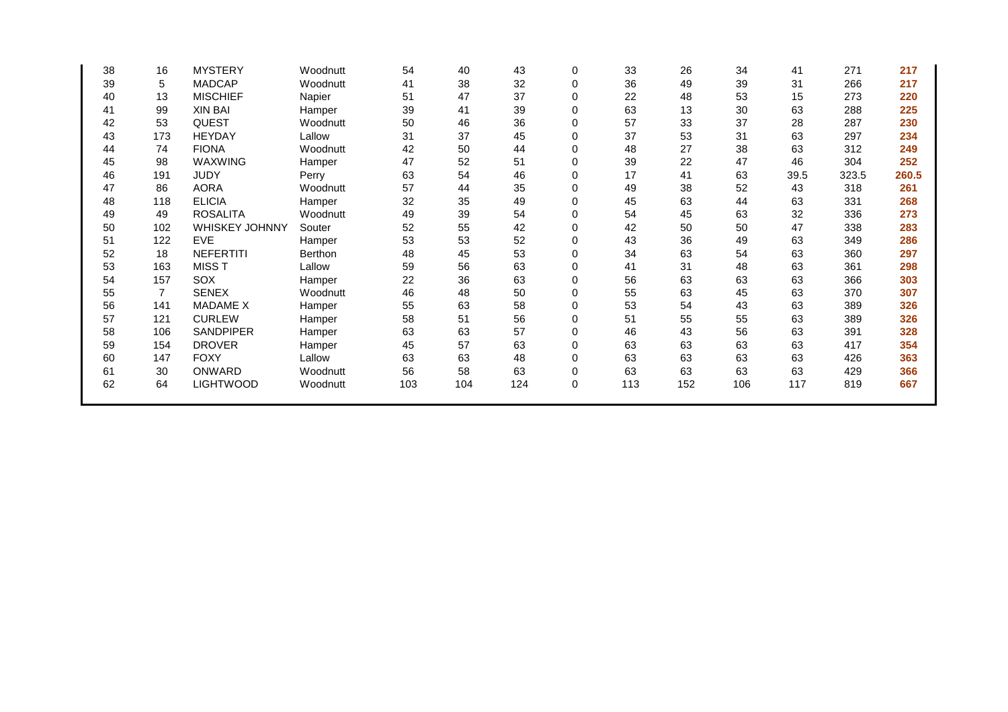| 38 | 16             | <b>MYSTERY</b>   | Woodnutt | 54  | 40  | 43  | 0           | 33  | 26  | 34  | 41   | 271   | 217   |
|----|----------------|------------------|----------|-----|-----|-----|-------------|-----|-----|-----|------|-------|-------|
| 39 | 5              | <b>MADCAP</b>    | Woodnutt | 41  | 38  | 32  | 0           | 36  | 49  | 39  | 31   | 266   | 217   |
| 40 | 13             | <b>MISCHIEF</b>  | Napier   | 51  | 47  | 37  | $\Omega$    | 22  | 48  | 53  | 15   | 273   | 220   |
| 41 | 99             | <b>XIN BAI</b>   | Hamper   | 39  | 41  | 39  | 0           | 63  | 13  | 30  | 63   | 288   | 225   |
| 42 | 53             | <b>QUEST</b>     | Woodnutt | 50  | 46  | 36  | $\Omega$    | 57  | 33  | 37  | 28   | 287   | 230   |
| 43 | 173            | <b>HEYDAY</b>    | Lallow   | 31  | 37  | 45  | $\Omega$    | 37  | 53  | 31  | 63   | 297   | 234   |
| 44 | 74             | <b>FIONA</b>     | Woodnutt | 42  | 50  | 44  | $\Omega$    | 48  | 27  | 38  | 63   | 312   | 249   |
| 45 | 98             | WAXWING          | Hamper   | 47  | 52  | 51  | $\Omega$    | 39  | 22  | 47  | 46   | 304   | 252   |
| 46 | 191            | <b>JUDY</b>      | Perry    | 63  | 54  | 46  | 0           | 17  | 41  | 63  | 39.5 | 323.5 | 260.5 |
| 47 | 86             | <b>AORA</b>      | Woodnutt | 57  | 44  | 35  | 0           | 49  | 38  | 52  | 43   | 318   | 261   |
| 48 | 118            | <b>ELICIA</b>    | Hamper   | 32  | 35  | 49  | 0           | 45  | 63  | 44  | 63   | 331   | 268   |
| 49 | 49             | <b>ROSALITA</b>  | Woodnutt | 49  | 39  | 54  | $\Omega$    | 54  | 45  | 63  | 32   | 336   | 273   |
| 50 | 102            | WHISKEY JOHNNY   | Souter   | 52  | 55  | 42  | 0           | 42  | 50  | 50  | 47   | 338   | 283   |
| 51 | 122            | <b>EVE</b>       | Hamper   | 53  | 53  | 52  | $\Omega$    | 43  | 36  | 49  | 63   | 349   | 286   |
| 52 | 18             | <b>NEFERTITI</b> | Berthon  | 48  | 45  | 53  | $\Omega$    | 34  | 63  | 54  | 63   | 360   | 297   |
| 53 | 163            | <b>MISST</b>     | Lallow   | 59  | 56  | 63  | $\Omega$    | 41  | 31  | 48  | 63   | 361   | 298   |
| 54 | 157            | SOX              | Hamper   | 22  | 36  | 63  | $\Omega$    | 56  | 63  | 63  | 63   | 366   | 303   |
| 55 | $\overline{7}$ | <b>SENEX</b>     | Woodnutt | 46  | 48  | 50  | $\Omega$    | 55  | 63  | 45  | 63   | 370   | 307   |
| 56 | 141            | <b>MADAME X</b>  | Hamper   | 55  | 63  | 58  | 0           | 53  | 54  | 43  | 63   | 389   | 326   |
| 57 | 121            | <b>CURLEW</b>    | Hamper   | 58  | 51  | 56  | 0           | 51  | 55  | 55  | 63   | 389   | 326   |
| 58 | 106            | <b>SANDPIPER</b> | Hamper   | 63  | 63  | 57  | 0           | 46  | 43  | 56  | 63   | 391   | 328   |
| 59 | 154            | <b>DROVER</b>    | Hamper   | 45  | 57  | 63  | $\mathbf 0$ | 63  | 63  | 63  | 63   | 417   | 354   |
| 60 | 147            | <b>FOXY</b>      | Lallow   | 63  | 63  | 48  | $\Omega$    | 63  | 63  | 63  | 63   | 426   | 363   |
| 61 | 30             | ONWARD           | Woodnutt | 56  | 58  | 63  | 0           | 63  | 63  | 63  | 63   | 429   | 366   |
| 62 | 64             | <b>LIGHTWOOD</b> | Woodnutt | 103 | 104 | 124 | 0           | 113 | 152 | 106 | 117  | 819   | 667   |
|    |                |                  |          |     |     |     |             |     |     |     |      |       |       |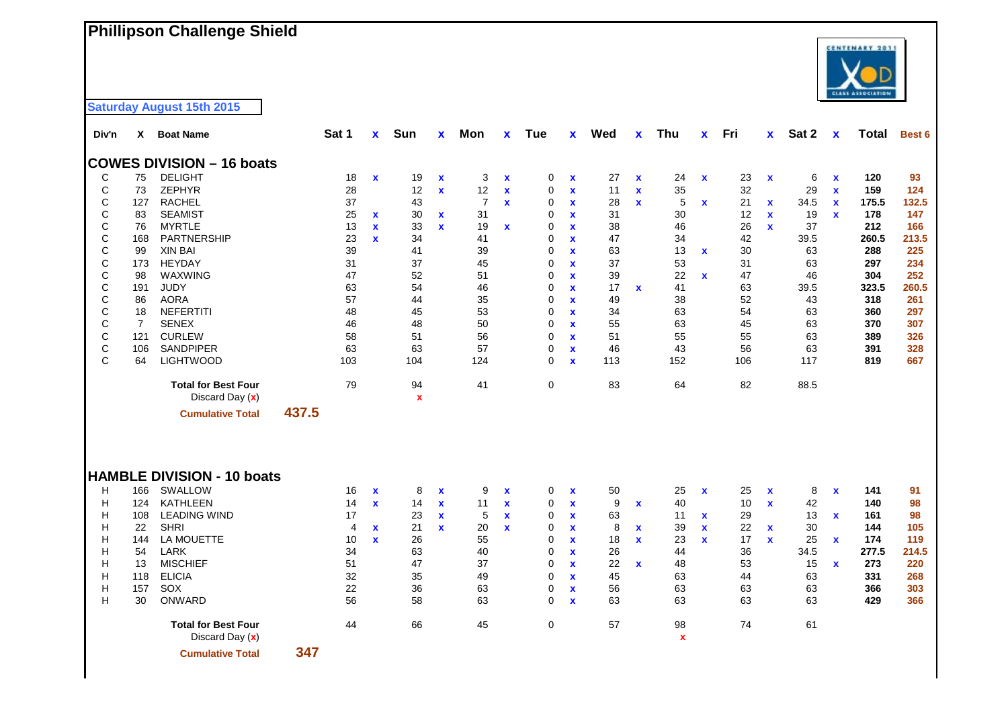## **Phillipson Challenge Shield**



| Div'n        | X              | <b>Boat Name</b>                              |       | Sat 1 | $\mathbf{x}$ | Sun                             | X            | Mon            | X                         | <b>Tue</b>  | <b>X</b>     | Wed | X            | Thu                      | X           | Fri | <b>X</b>           | Sat 2 | $\mathbf x$        | Total | Best 6 |
|--------------|----------------|-----------------------------------------------|-------|-------|--------------|---------------------------------|--------------|----------------|---------------------------|-------------|--------------|-----|--------------|--------------------------|-------------|-----|--------------------|-------|--------------------|-------|--------|
|              |                | <b>COWES DIVISION - 16 boats</b>              |       |       |              |                                 |              |                |                           |             |              |     |              |                          |             |     |                    |       |                    |       |        |
| C            | 75             | <b>DELIGHT</b>                                |       | 18    | $\mathbf{x}$ | 19                              | $\mathbf x$  | 3              | $\boldsymbol{\mathsf{x}}$ | 0           | X            | 27  | $\mathbf{x}$ | 24                       | $\mathbf x$ | 23  | $\mathbf x$        | 6     | $\mathbf x$        | 120   | 93     |
| С            | 73             | <b>ZEPHYR</b>                                 |       | 28    |              | 12                              | $\mathbf x$  | 12             | $\mathbf x$               | 0           | $\mathbf x$  | 11  | $\mathbf{x}$ | 35                       |             | 32  |                    | 29    | $\mathbf x$        | 159   | 124    |
| C            | 127            | <b>RACHEL</b>                                 |       | 37    |              | 43                              |              | $\overline{7}$ | $\mathbf x$               | 0           | $\mathbf x$  | 28  | $\mathbf{x}$ | 5                        | $\mathbf x$ | 21  | x                  | 34.5  | $\pmb{\mathsf{x}}$ | 175.5 | 132.5  |
| С            | 83             | <b>SEAMIST</b>                                |       | 25    | $\mathbf x$  | 30                              | $\mathbf{x}$ | 31             |                           | 0           | $\mathbf x$  | 31  |              | 30                       |             | 12  | $\mathbf{x}$       | 19    | $\mathbf{x}$       | 178   | 147    |
| $\mathsf{C}$ | 76             | <b>MYRTLE</b>                                 |       | 13    | $\mathbf{x}$ | 33                              | $\mathbf{x}$ | 19             | $\mathbf x$               | 0           | $\mathbf{x}$ | 38  |              | 46                       |             | 26  | $\mathbf{x}$       | 37    |                    | 212   | 166    |
| C            | 168            | PARTNERSHIP                                   |       | 23    | $\mathbf{x}$ | 34                              |              | 41             |                           | 0           | $\mathbf x$  | 47  |              | 34                       |             | 42  |                    | 39.5  |                    | 260.5 | 213.5  |
| С            | 99             | <b>XIN BAI</b>                                |       | 39    |              | 41                              |              | 39             |                           | 0           | $\mathbf{x}$ | 63  |              | 13                       | $\mathbf x$ | 30  |                    | 63    |                    | 288   | 225    |
| $\mathsf{C}$ | 173            | <b>HEYDAY</b>                                 |       | 31    |              | 37                              |              | 45             |                           | 0           | $\mathbf{x}$ | 37  |              | 53                       |             | 31  |                    | 63    |                    | 297   | 234    |
| $\mathsf{C}$ | 98             | WAXWING                                       |       | 47    |              | 52                              |              | 51             |                           | 0           | $\mathbf x$  | 39  |              | 22                       | $\mathbf x$ | 47  |                    | 46    |                    | 304   | 252    |
| $\mathsf{C}$ | 191            | JUDY                                          |       | 63    |              | 54                              |              | 46             |                           | 0           | $\mathbf{x}$ | 17  | $\mathbf x$  | 41                       |             | 63  |                    | 39.5  |                    | 323.5 | 260.5  |
| $\mathsf{C}$ | 86             | <b>AORA</b>                                   |       | 57    |              | 44                              |              | 35             |                           | 0           | $\mathbf{x}$ | 49  |              | 38                       |             | 52  |                    | 43    |                    | 318   | 261    |
| C            | 18             | <b>NEFERTITI</b>                              |       | 48    |              | 45                              |              | 53             |                           | 0           | $\mathbf{x}$ | 34  |              | 63                       |             | 54  |                    | 63    |                    | 360   | 297    |
| C            | $\overline{7}$ | <b>SENEX</b>                                  |       | 46    |              | 48                              |              | 50             |                           | 0           | $\mathbf{x}$ | 55  |              | 63                       |             | 45  |                    | 63    |                    | 370   | 307    |
| $\mathsf C$  | 121            | <b>CURLEW</b>                                 |       | 58    |              | 51                              |              | 56             |                           | 0           | $\mathbf{x}$ | 51  |              | 55                       |             | 55  |                    | 63    |                    | 389   | 326    |
| $\mathsf C$  | 106            | <b>SANDPIPER</b>                              |       | 63    |              | 63                              |              | 57             |                           | $\mathbf 0$ | $\mathbf{x}$ | 46  |              | 43                       |             | 56  |                    | 63    |                    | 391   | 328    |
| C            | 64             | <b>LIGHTWOOD</b>                              |       | 103   |              | 104                             |              | 124            |                           | $\Omega$    | $\mathbf{x}$ | 113 |              | 152                      |             | 106 |                    | 117   |                    | 819   | 667    |
|              |                | <b>Total for Best Four</b><br>Discard Day (x) |       | 79    |              | 94<br>$\boldsymbol{\mathsf{x}}$ |              | 41             |                           | 0           |              | 83  |              | 64                       |             | 82  |                    | 88.5  |                    |       |        |
|              |                | <b>Cumulative Total</b>                       | 437.5 |       |              |                                 |              |                |                           |             |              |     |              |                          |             |     |                    |       |                    |       |        |
|              |                | <b>HAMBLE DIVISION - 10 boats</b>             |       |       |              |                                 |              |                |                           |             |              |     |              |                          |             |     |                    |       |                    |       |        |
| H            | 166            | SWALLOW                                       |       | 16    | $\mathbf x$  | 8                               | $\mathbf x$  | 9              | $\pmb{\mathsf{x}}$        | 0           | $\mathbf x$  | 50  |              | 25                       | $\mathbf x$ | 25  | $\pmb{\mathsf{x}}$ | 8     | $\mathbf x$        | 141   | 91     |
| Н            | 124            | <b>KATHLEEN</b>                               |       | 14    | $\mathbf{x}$ | 14                              | $\mathbf{x}$ | 11             | $\mathbf x$               | 0           | $\mathbf x$  | 9   | $\mathbf x$  | 40                       |             | 10  | $\mathbf{x}$       | 42    |                    | 140   | 98     |
| Н            | 108            | <b>LEADING WIND</b>                           |       | 17    |              | 23                              | $\mathbf{x}$ | 5              | $\mathbf x$               | 0           | $\mathbf x$  | 63  |              | 11                       | $\mathbf x$ | 29  |                    | 13    | $\mathbf{x}$       | 161   | 98     |
| Н            | 22             | <b>SHRI</b>                                   |       | 4     | $\mathbf{x}$ | 21                              | $\mathbf x$  | 20             | $\mathbf x$               | 0           | $\mathbf x$  | 8   | $\mathbf x$  | 39                       | $\mathbf x$ | 22  | $\mathbf x$        | 30    |                    | 144   | 105    |
| н            | 144            | LA MOUETTE                                    |       | 10    | $\mathbf{x}$ | 26                              |              | 55             |                           | 0           | $\mathbf{x}$ | 18  | $\mathbf{x}$ | 23                       | $\mathbf x$ | 17  | $\mathbf{x}$       | 25    | $\mathbf{x}$       | 174   | 119    |
| н            | 54             | LARK                                          |       | 34    |              | 63                              |              | 40             |                           | 0           | $\mathbf{x}$ | 26  |              | 44                       |             | 36  |                    | 34.5  |                    | 277.5 | 214.5  |
| Н            | 13             | <b>MISCHIEF</b>                               |       | 51    |              | 47                              |              | 37             |                           | 0           | $\mathbf x$  | 22  | $\mathbf x$  | 48                       |             | 53  |                    | 15    | $\mathbf x$        | 273   | 220    |
| н            | 118            | <b>ELICIA</b>                                 |       | 32    |              | 35                              |              | 49             |                           | 0           | $\mathbf{x}$ | 45  |              | 63                       |             | 44  |                    | 63    |                    | 331   | 268    |
| Н            | 157            | SOX                                           |       | 22    |              | 36                              |              | 63             |                           | 0           | $\mathbf{x}$ | 56  |              | 63                       |             | 63  |                    | 63    |                    | 366   | 303    |
| H            | 30             | ONWARD                                        |       | 56    |              | 58                              |              | 63             |                           | $\mathbf 0$ | $\mathbf{x}$ | 63  |              | 63                       |             | 63  |                    | 63    |                    | 429   | 366    |
|              |                | <b>Total for Best Four</b><br>Discard Day (x) |       | 44    |              | 66                              |              | 45             |                           | 0           |              | 57  |              | 98<br>$\pmb{\mathsf{x}}$ |             | 74  |                    | 61    |                    |       |        |
|              |                | <b>Cumulative Total</b>                       | 347   |       |              |                                 |              |                |                           |             |              |     |              |                          |             |     |                    |       |                    |       |        |

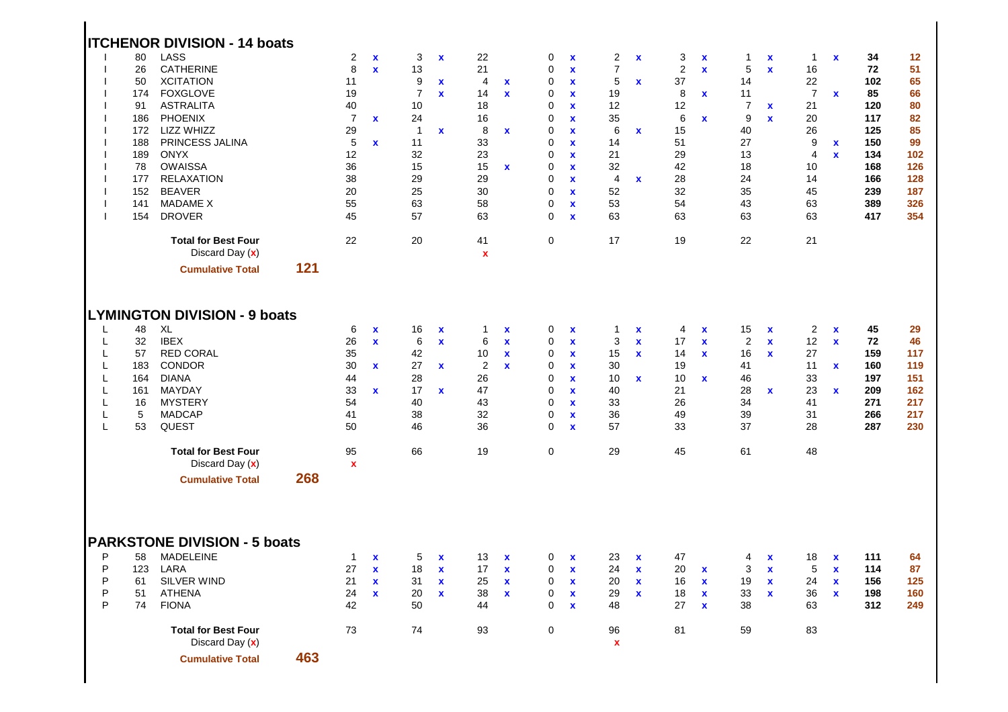|                                           | 80<br>26<br>50<br>174<br>91<br>186<br>172<br>188<br>189<br>78<br>177<br>152<br>141<br>154 | <b>ITCHENOR DIVISION - 14 boats</b><br>LASS<br><b>CATHERINE</b><br><b>XCITATION</b><br><b>FOXGLOVE</b><br><b>ASTRALITA</b><br><b>PHOENIX</b><br>LIZZ WHIZZ<br>PRINCESS JALINA<br><b>ONYX</b><br><b>OWAISSA</b><br><b>RELAXATION</b><br><b>BEAVER</b><br><b>MADAME X</b><br><b>DROVER</b> |     | 2<br>8<br>11<br>19<br>40<br>$\overline{7}$<br>29<br>5<br>12<br>36<br>38<br>20<br>55<br>45 | $\mathbf x$<br>$\mathbf{x}$<br>$\mathbf{x}$<br>$\mathbf{x}$  | 3<br>13<br>9<br>$\overline{7}$<br>10<br>24<br>$\overline{1}$<br>11<br>32<br>15<br>29<br>25<br>63<br>57 | $\mathbf x$<br>$\mathbf x$<br>$\mathbf x$<br>$\mathbf x$                 | 22<br>21<br>4<br>14<br>18<br>16<br>8<br>33<br>23<br>15<br>29<br>30<br>58<br>63 | $\mathbf x$<br>$\mathbf{x}$<br>$\mathbf x$<br>$\mathbf x$       | 0<br>0<br>0<br>0<br>0<br>0<br>0<br>0<br>0<br>0<br>0<br>0<br>0<br>0 | $\mathbf x$<br>$\mathbf x$<br>$\mathbf x$<br>$\mathbf x$<br>$\mathbf x$<br>$\mathbf x$<br>$\mathbf x$<br>$\mathbf x$<br>$\mathbf{x}$<br>$\mathbf x$<br>$\mathbf x$<br>$\mathbf x$<br>$\mathbf x$<br>$\mathbf x$ | $\overline{2}$<br>$\overline{7}$<br>5<br>19<br>12<br>35<br>6<br>14<br>21<br>32<br>4<br>52<br>53<br>63 | $\boldsymbol{\mathsf{x}}$<br>$\mathbf x$<br>$\mathbf x$<br>$\mathbf x$ | 3<br>2<br>37<br>8<br>12<br>6<br>15<br>51<br>29<br>42<br>28<br>32<br>54<br>63 | $\mathbf x$<br>$\mathbf{x}$<br>$\mathbf{x}$<br>$\mathbf x$   | $\overline{1}$<br>5<br>14<br>11<br>$\overline{7}$<br>9<br>40<br>27<br>13<br>18<br>24<br>35<br>43<br>63 | $\mathbf x$<br>$\mathbf{x}$<br>X<br>$\mathbf x$                         | 1<br>16<br>22<br>$\overline{7}$<br>21<br>20<br>26<br>9<br>4<br>10<br>14<br>45<br>63<br>63 | $\mathbf x$<br>$\mathbf x$<br>$\mathbf{x}$<br>$\mathbf{x}$                    | 34<br>72<br>102<br>85<br>120<br>117<br>125<br>150<br>134<br>168<br>166<br>239<br>389<br>417 | 12<br>51<br>65<br>66<br>80<br>82<br>85<br>99<br>102<br>126<br>128<br>187<br>326<br>354 |
|-------------------------------------------|-------------------------------------------------------------------------------------------|------------------------------------------------------------------------------------------------------------------------------------------------------------------------------------------------------------------------------------------------------------------------------------------|-----|-------------------------------------------------------------------------------------------|--------------------------------------------------------------|--------------------------------------------------------------------------------------------------------|--------------------------------------------------------------------------|--------------------------------------------------------------------------------|-----------------------------------------------------------------|--------------------------------------------------------------------|-----------------------------------------------------------------------------------------------------------------------------------------------------------------------------------------------------------------|-------------------------------------------------------------------------------------------------------|------------------------------------------------------------------------|------------------------------------------------------------------------------|--------------------------------------------------------------|--------------------------------------------------------------------------------------------------------|-------------------------------------------------------------------------|-------------------------------------------------------------------------------------------|-------------------------------------------------------------------------------|---------------------------------------------------------------------------------------------|----------------------------------------------------------------------------------------|
|                                           |                                                                                           | <b>Total for Best Four</b><br>Discard Day (x)<br><b>Cumulative Total</b>                                                                                                                                                                                                                 | 121 | 22                                                                                        |                                                              | 20                                                                                                     |                                                                          | 41<br>$\mathbf x$                                                              |                                                                 | 0                                                                  |                                                                                                                                                                                                                 | 17                                                                                                    |                                                                        | 19                                                                           |                                                              | 22                                                                                                     |                                                                         | 21                                                                                        |                                                                               |                                                                                             |                                                                                        |
| L<br>L<br>L<br>L<br>L<br>L<br>L<br>L<br>L | 48<br>32<br>57<br>183<br>164<br>161<br>16<br>5<br>53                                      | <b>LYMINGTON DIVISION - 9 boats</b><br>XL<br><b>IBEX</b><br><b>RED CORAL</b><br>CONDOR<br><b>DIANA</b><br>MAYDAY<br><b>MYSTERY</b><br><b>MADCAP</b><br>QUEST<br><b>Total for Best Four</b><br>Discard Day (x)<br><b>Cumulative Total</b>                                                 | 268 | 6<br>26<br>35<br>30<br>44<br>33<br>54<br>41<br>50<br>95<br>$\mathbf x$                    | $\mathbf x$<br>$\mathbf{x}$<br>$\mathbf{x}$<br>$\mathbf{x}$  | 16<br>6<br>42<br>27<br>28<br>17<br>40<br>38<br>46<br>66                                                | $\boldsymbol{\mathsf{x}}$<br>$\mathbf{x}$<br>$\mathbf x$<br>$\mathbf{x}$ | 1<br>6<br>10<br>$\overline{c}$<br>26<br>47<br>43<br>32<br>36<br>19             | $\mathbf x$<br>$\mathbf x$<br>$\mathbf x$<br>$\mathbf x$        | 0<br>0<br>0<br>0<br>0<br>0<br>0<br>0<br>0<br>$\mathbf 0$           | $\mathbf x$<br>$\mathbf x$<br>$\mathbf x$<br>$\mathbf x$<br>$\mathbf x$<br>$\mathbf x$<br>$\mathbf x$<br>$\mathbf x$<br>$\mathbf x$                                                                             | $\mathbf{1}$<br>3<br>15<br>30<br>10<br>40<br>33<br>36<br>57<br>29                                     | X<br>$\mathbf x$<br>$\mathbf x$<br>x                                   | 4<br>17<br>14<br>19<br>10<br>21<br>26<br>49<br>33<br>45                      | X<br>$\mathbf{x}$<br>$\mathbf{x}$<br>$\mathbf{x}$            | 15<br>$\overline{2}$<br>16<br>41<br>46<br>28<br>34<br>39<br>37<br>61                                   | $\mathbf x$<br>$\mathbf{x}$<br>$\mathbf x$<br>$\mathbf x$               | $\overline{c}$<br>12<br>27<br>11<br>33<br>23<br>41<br>31<br>28<br>48                      | $\mathbf x$<br>$\mathbf x$<br>$\mathbf x$<br>$\mathbf{x}$                     | 45<br>72<br>159<br>160<br>197<br>209<br>271<br>266<br>287                                   | 29<br>46<br>117<br>119<br>151<br>162<br>217<br>217<br>230                              |
| P<br>P<br>P<br>P<br>P                     | 58<br>123<br>61<br>51<br>74                                                               | <b>PARKSTONE DIVISION - 5 boats</b><br>MADELEINE<br>LARA<br>SILVER WIND<br>ATHENA<br><b>FIONA</b><br><b>Total for Best Four</b><br>Discard Day (x)<br><b>Cumulative Total</b>                                                                                                            | 463 | $\mathbf{1}$<br>27<br>21<br>24<br>42<br>73                                                | $\mathbf{x}$<br>$\mathbf{x}$<br>$\mathbf{x}$<br>$\mathbf{x}$ | 5<br>18<br>31<br>20<br>50<br>74                                                                        | $\mathbf x$<br>$\boldsymbol{\mathsf{x}}$<br>$\mathbf x$<br>$\mathbf x$   | 13<br>17<br>25<br>38<br>44<br>93                                               | $\mathbf x$<br>$\mathbf x$<br>$\mathbf x$<br>$\pmb{\mathsf{x}}$ | 0<br>0<br>0<br>0<br>0<br>0                                         | $\mathbf x$<br>$\mathbf x$<br>$\mathbf x$<br>$\pmb{\chi}$<br>$\mathbf x$                                                                                                                                        | 23<br>24<br>20<br>29<br>48<br>96<br>$\pmb{\mathsf{x}}$                                                | $\mathbf x$<br>$\boldsymbol{\mathsf{x}}$<br>$\mathbf x$<br>$\mathbf x$ | 47<br>20<br>16<br>18<br>27<br>81                                             | $\mathbf{x}$<br>$\mathbf{x}$<br>$\mathbf{x}$<br>$\mathbf{x}$ | 4<br>3<br>19<br>33<br>38<br>59                                                                         | $\mathbf x$<br>$\boldsymbol{\mathsf{x}}$<br>$\mathbf x$<br>$\pmb{\chi}$ | 18<br>5<br>24<br>36<br>63<br>83                                                           | $\mathbf x$<br>$\pmb{\mathsf{x}}$<br>$\pmb{\mathsf{x}}$<br>$\pmb{\mathsf{x}}$ | 111<br>114<br>156<br>198<br>312                                                             | 64<br>87<br>125<br>160<br>249                                                          |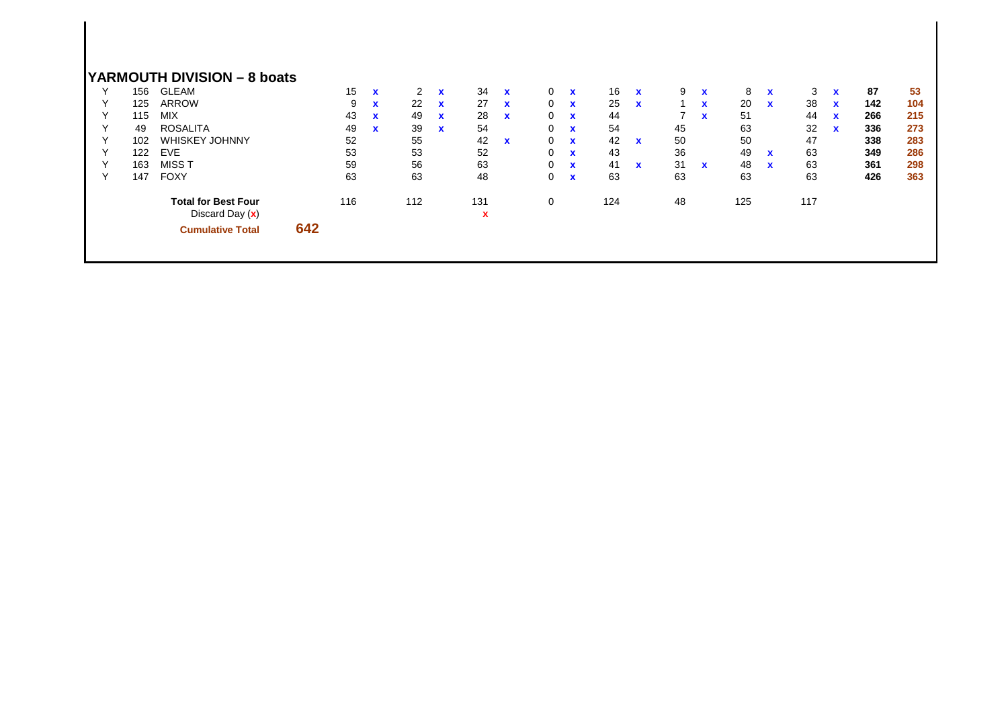|              |     | YARMOUTH DIVISION - 8 boats                     |     |     |              |     |              |          |              |              |              |     |              |    |              |     |             |     |              |     |     |
|--------------|-----|-------------------------------------------------|-----|-----|--------------|-----|--------------|----------|--------------|--------------|--------------|-----|--------------|----|--------------|-----|-------------|-----|--------------|-----|-----|
| ν            | 156 | <b>GLEAM</b>                                    |     | 15  | $\mathbf{x}$ | 2   | $\mathbf{x}$ | 34       | $\mathbf{x}$ | $\mathbf{0}$ | $\mathbf{x}$ | 16  | $\mathbf{x}$ | 9  | $\mathbf{x}$ | 8   | $\mathbf x$ | 3   | $\mathbf{x}$ | 87  | 53  |
| $\checkmark$ | 125 | ARROW                                           |     | 9   | $\mathbf{x}$ | 22  | $\mathbf{x}$ | 27       | $\mathbf{x}$ | $\mathbf{0}$ | $\mathbf{x}$ | 25  | $\mathbf{x}$ |    | $\mathbf{x}$ | 20  | $\mathbf x$ | 38  | $\mathbf{x}$ | 142 | 104 |
| Υ            | 115 | <b>MIX</b>                                      |     | 43  | $\mathbf{x}$ | 49  | $\mathbf{x}$ | 28       | $\mathbf{x}$ | $\Omega$     | $\mathbf{x}$ | 44  |              |    | $\mathbf{x}$ | 51  |             | 44  | $\mathbf{x}$ | 266 | 215 |
| $\checkmark$ | 49  | <b>ROSALITA</b>                                 |     | 49  | $\mathbf{x}$ | 39  | $\mathbf{x}$ | 54       |              | 0            | $\mathbf x$  | 54  |              | 45 |              | 63  |             | 32  | $\mathbf{x}$ | 336 | 273 |
| Υ            | 102 | <b>WHISKEY JOHNNY</b>                           |     | 52  |              | 55  |              | 42       | $\mathbf{x}$ | $\Omega$     | $\mathbf{x}$ | 42  | $\mathbf x$  | 50 |              | 50  |             | 47  |              | 338 | 283 |
| $\checkmark$ | 122 | <b>EVE</b>                                      |     | 53  |              | 53  |              | 52       |              | $\mathbf 0$  | $\mathbf{x}$ | 43  |              | 36 |              | 49  | $\mathbf x$ | 63  |              | 349 | 286 |
| $\checkmark$ | 163 | MISS T                                          |     | 59  |              | 56  |              | 63       |              | $\Omega$     | $\mathbf{x}$ | 41  | $\mathbf{x}$ | 31 | $\mathbf{x}$ | 48  | $\mathbf x$ | 63  |              | 361 | 298 |
| $\checkmark$ | 147 | <b>FOXY</b>                                     |     | 63  |              | 63  |              | 48       |              | $\Omega$     | $\mathbf{x}$ | 63  |              | 63 |              | 63  |             | 63  |              | 426 | 363 |
|              |     | <b>Total for Best Four</b><br>Discard Day $(x)$ |     | 116 |              | 112 |              | 131<br>x |              | 0            |              | 124 |              | 48 |              | 125 |             | 117 |              |     |     |
|              |     | <b>Cumulative Total</b>                         | 642 |     |              |     |              |          |              |              |              |     |              |    |              |     |             |     |              |     |     |
|              |     |                                                 |     |     |              |     |              |          |              |              |              |     |              |    |              |     |             |     |              |     |     |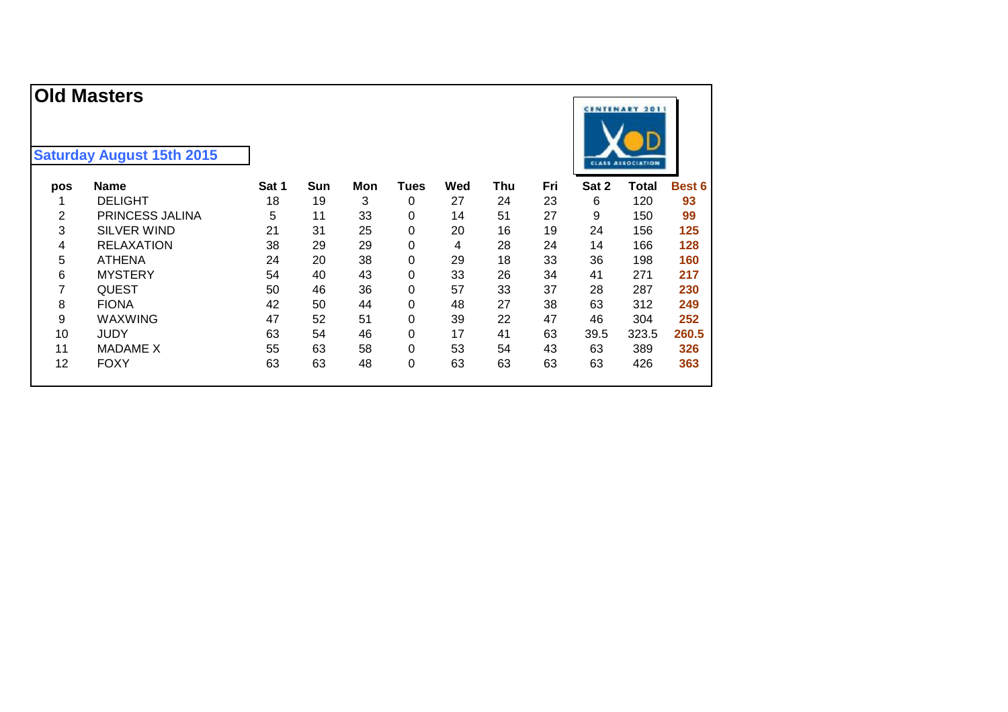| pos | <b>Name</b>        | Sat 1 | Sun | Mon | Tues | Wed | Thu | Fri | Sat 2 | Total | Best 6 |
|-----|--------------------|-------|-----|-----|------|-----|-----|-----|-------|-------|--------|
|     | <b>DELIGHT</b>     | 18    | 19  | 3   | 0    | 27  | 24  | 23  | 6     | 120   | 93     |
| 2   | PRINCESS JALINA    | 5     | 11  | 33  | 0    | 14  | 51  | 27  | 9     | 150   | 99     |
| 3   | <b>SILVER WIND</b> | 21    | 31  | 25  | 0    | 20  | 16  | 19  | 24    | 156   | 125    |
| 4   | <b>RELAXATION</b>  | 38    | 29  | 29  | 0    | 4   | 28  | 24  | 14    | 166   | 128    |
| 5   | <b>ATHENA</b>      | 24    | 20  | 38  | 0    | 29  | 18  | 33  | 36    | 198   | 160    |
| 6   | <b>MYSTERY</b>     | 54    | 40  | 43  | 0    | 33  | 26  | 34  | 41    | 271   | 217    |
| 7   | <b>QUEST</b>       | 50    | 46  | 36  | 0    | 57  | 33  | 37  | 28    | 287   | 230    |
| 8   | <b>FIONA</b>       | 42    | 50  | 44  | 0    | 48  | 27  | 38  | 63    | 312   | 249    |
| 9   | <b>WAXWING</b>     | 47    | 52  | 51  | 0    | 39  | 22  | 47  | 46    | 304   | 252    |
| 10  | <b>JUDY</b>        | 63    | 54  | 46  | 0    | 17  | 41  | 63  | 39.5  | 323.5 | 260.5  |
| 11  | <b>MADAME X</b>    | 55    | 63  | 58  | 0    | 53  | 54  | 43  | 63    | 389   | 326    |
| 12  | <b>FOXY</b>        | 63    | 63  | 48  | 0    | 63  | 63  | 63  | 63    | 426   | 363    |

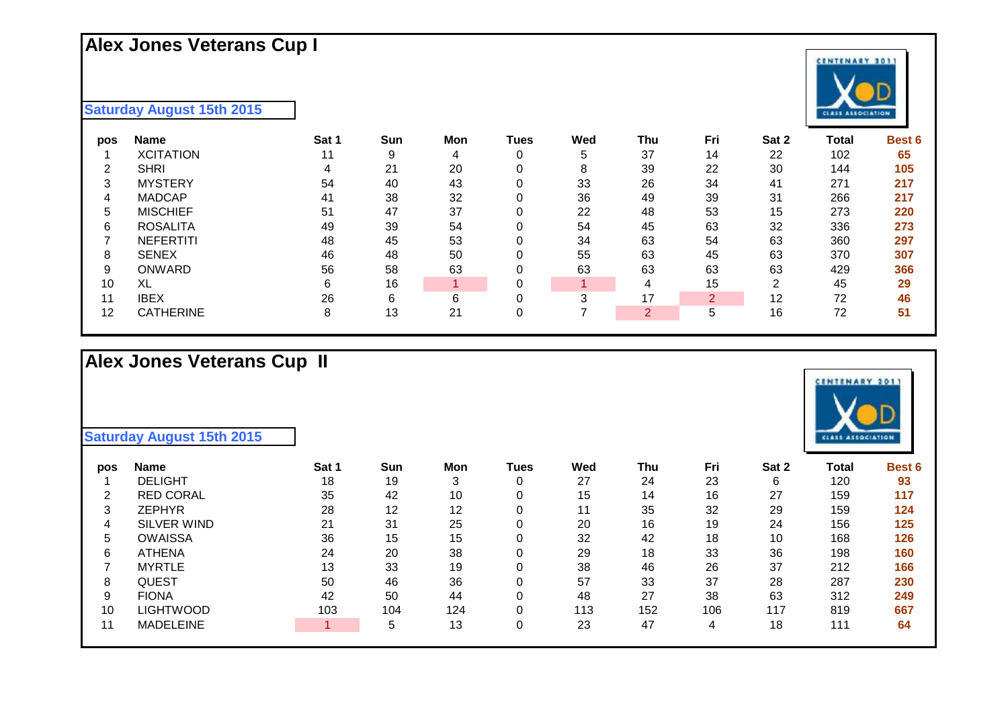## **Alex Jones Veterans Cup I**

**Saturday August 15th 2015**

| pos | <b>Name</b>      | Sat 1 | Sun | Mon | Tues | Wed | Thu | Fri | Sat 2 | Total | <b>Best 6</b> |
|-----|------------------|-------|-----|-----|------|-----|-----|-----|-------|-------|---------------|
|     | <b>XCITATION</b> | 11    | 9   | 4   | 0    | 5   | 37  | 14  | 22    | 102   | 65            |
| ົ   | <b>SHRI</b>      |       | 21  | 20  | 0    | 8   | 39  | 22  | 30    | 144   | 105           |
| 3   | <b>MYSTERY</b>   | 54    | 40  | 43  |      | 33  | 26  | 34  | 41    | 271   | 217           |
| 4   | <b>MADCAP</b>    | 41    | 38  | 32  |      | 36  | 49  | 39  | 31    | 266   | 217           |
| 5   | <b>MISCHIEF</b>  | 51    | 47  | 37  | 0    | 22  | 48  | 53  | 15    | 273   | 220           |
| 6   | <b>ROSALITA</b>  | 49    | 39  | 54  |      | 54  | 45  | 63  | 32    | 336   | 273           |
|     | <b>NEFERTITI</b> | 48    | 45  | 53  |      | 34  | 63  | 54  | 63    | 360   | 297           |
| 8   | <b>SENEX</b>     | 46    | 48  | 50  |      | 55  | 63  | 45  | 63    | 370   | 307           |
| 9   | <b>ONWARD</b>    | 56    | 58  | 63  |      | 63  | 63  | 63  | 63    | 429   | 366           |
| 10  | XL               | 6     | 16  |     | 0    |     | 4   | 15  | ົ     | 45    | 29            |
| 11  | <b>IBEX</b>      | 26    | 6   | 6   |      | 3   | 17  | 2   | 12    | 72    | 46            |
| 12  | <b>CATHERINE</b> | 8     | 13  | 21  |      |     | 0   |     | 16    | 72    | 51            |

#### **Alex Jones Veterans Cup II**

| pos | <b>Name</b>        | Sat 1 | Sun | Mon | Tues | Wed | Thu | Fri | Sat 2 | Total | <b>Best 6</b> |
|-----|--------------------|-------|-----|-----|------|-----|-----|-----|-------|-------|---------------|
|     | <b>DELIGHT</b>     | 18    | 19  | 3   | 0    | 27  | 24  | 23  | 6     | 120   | 93            |
| 2   | <b>RED CORAL</b>   | 35    | 42  | 10  | 0    | 15  | 14  | 16  | 27    | 159   | 117           |
| 3   | <b>ZEPHYR</b>      | 28    | 12  | 12  | 0    | 11  | 35  | 32  | 29    | 159   | 124           |
| 4   | <b>SILVER WIND</b> | 21    | 31  | 25  | 0    | 20  | 16  | 19  | 24    | 156   | 125           |
| 5   | <b>OWAISSA</b>     | 36    | 15  | 15  | 0    | 32  | 42  | 18  | 10    | 168   | 126           |
| 6   | <b>ATHENA</b>      | 24    | 20  | 38  | 0    | 29  | 18  | 33  | 36    | 198   | 160           |
|     | <b>MYRTLE</b>      | 13    | 33  | 19  | 0    | 38  | 46  | 26  | 37    | 212   | 166           |
| 8   | <b>QUEST</b>       | 50    | 46  | 36  | 0    | 57  | 33  | 37  | 28    | 287   | 230           |
| 9   | <b>FIONA</b>       | 42    | 50  | 44  | 0    | 48  | 27  | 38  | 63    | 312   | 249           |
| 10  | <b>LIGHTWOOD</b>   | 103   | 104 | 124 | 0    | 113 | 152 | 106 | 117   | 819   | 667           |
| 11  | <b>MADELEINE</b>   |       | 5   | 13  | 0    | 23  | 47  | 4   | 18    | 111   | 64            |
|     |                    |       |     |     |      |     |     |     |       |       |               |



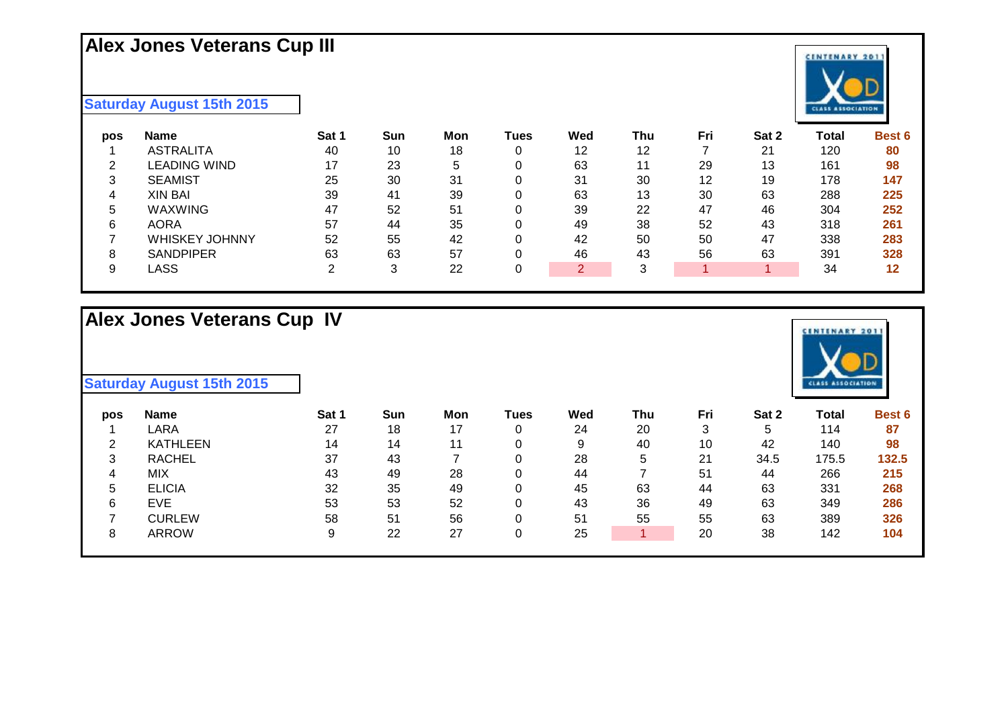# **Alex Jones Veterans Cup III**

#### **Saturday August 15th 2015**

| pos | <b>Name</b>           | Sat 1 | Sun | Mon | Tues | Wed           | Thu | Fri | Sat 2 | Total | <b>Best 6</b> |
|-----|-----------------------|-------|-----|-----|------|---------------|-----|-----|-------|-------|---------------|
|     | <b>ASTRALITA</b>      | 40    | 10  | 18  |      | 12            | 12  |     | 21    | 120   | 80            |
| ⌒   | LEADING WIND          | 17    | 23  | 5   |      | 63            | 11  | 29  | 13    | 161   | 98            |
| ົ   | <b>SEAMIST</b>        | 25    | 30  | 31  |      | 31            | 30  | 12  | 19    | 178   | 147           |
|     | <b>XIN BAI</b>        | 39    | 41  | 39  |      | 63            | 13  | 30  | 63    | 288   | 225           |
|     | WAXWING               | 47    | 52  | 51  |      | 39            | 22  | 47  | 46    | 304   | 252           |
| 6   | <b>AORA</b>           | 57    | 44  | 35  |      | 49            | 38  | 52  | 43    | 318   | 261           |
|     | <b>WHISKEY JOHNNY</b> | 52    | 55  | 42  |      | 42            | 50  | 50  | 47    | 338   | 283           |
| 8   | <b>SANDPIPER</b>      | 63    | 63  | 57  |      | 46            | 43  | 56  | 63    | 391   | 328           |
|     | ∟ASS                  |       | 3   | 22  |      | $\mathcal{D}$ | 3   |     |       | 34    | 12            |
|     |                       |       |     |     |      |               |     |     |       |       |               |

#### **Alex Jones Veterans Cup IV**

| pos    | <b>Name</b>     | Sat 1 | Sun | Mon | Tues | Wed | Thu | Fri | Sat 2 | Total | <b>Best 6</b> |
|--------|-----------------|-------|-----|-----|------|-----|-----|-----|-------|-------|---------------|
|        | LARA            | 27    | 18  | 17  |      | 24  | 20  | 3   | 5     | 114   | 87            |
| ົ      | <b>KATHLEEN</b> | 14    | 14  | 11  |      | 9   | 40  | 10  | 42    | 140   | 98            |
| ົ<br>đ | <b>RACHEL</b>   | 37    | 43  |     |      | 28  | 5   | 21  | 34.5  | 175.5 | 132.5         |
| 4      | <b>MIX</b>      | 43    | 49  | 28  |      | 44  |     | 51  | 44    | 266   | 215           |
| 5      | <b>ELICIA</b>   | 32    | 35  | 49  |      | 45  | 63  | 44  | 63    | 331   | 268           |
| 6      | <b>EVE</b>      | 53    | 53  | 52  |      | 43  | 36  | 49  | 63    | 349   | 286           |
|        | <b>CURLEW</b>   | 58    | 51  | 56  |      | 51  | 55  | 55  | 63    | 389   | 326           |
| 8      | <b>ARROW</b>    | 9     | 22  | 27  |      | 25  |     | 20  | 38    | 142   | 104           |



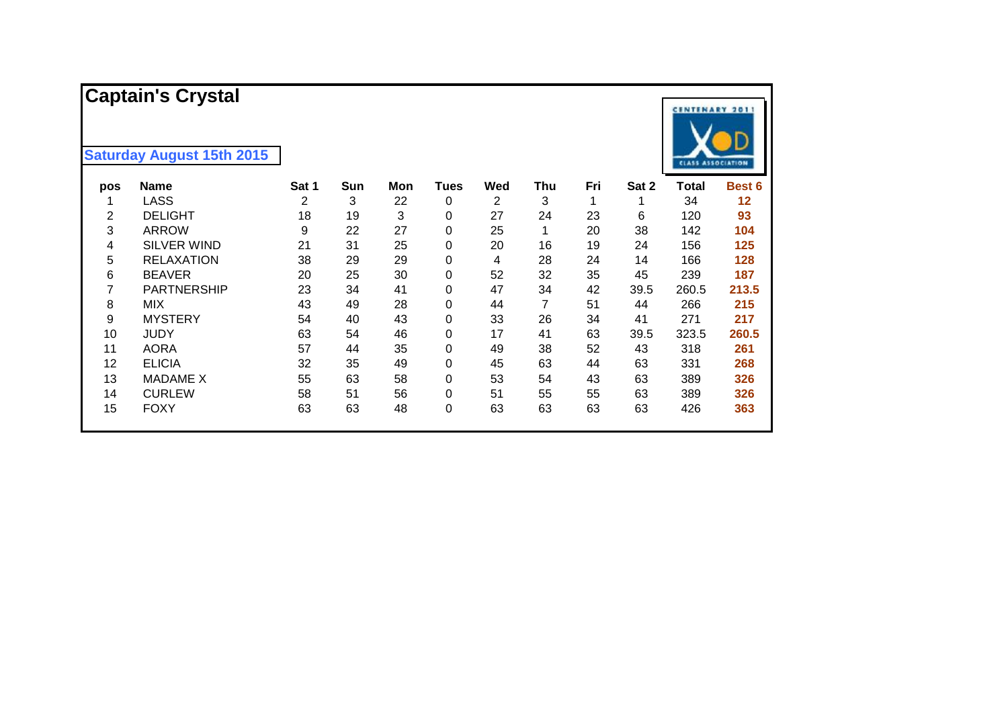|     | <b>Captain's Crystal</b><br><b>Saturday August 15th 2015</b> |       |     |     |             |     |     |     |       | <b>CENTENARY 2011</b><br><b>CLASS ASSOCIATION</b> |        |
|-----|--------------------------------------------------------------|-------|-----|-----|-------------|-----|-----|-----|-------|---------------------------------------------------|--------|
| pos | <b>Name</b>                                                  | Sat 1 | Sun | Mon | <b>Tues</b> | Wed | Thu | Fri | Sat 2 | Total                                             | Best 6 |
|     | <b>LASS</b>                                                  | 2     | 3   | 22  | 0           | 2   | 3   | 1   | 1     | 34                                                | 12     |
| 2   | <b>DELIGHT</b>                                               | 18    | 19  | 3   | 0           | 27  | 24  | 23  | 6     | 120                                               | 93     |
| 3   | <b>ARROW</b>                                                 | 9     | 22  | 27  | 0           | 25  | 1   | 20  | 38    | 142                                               | 104    |
| 4   | <b>SILVER WIND</b>                                           | 21    | 31  | 25  | 0           | 20  | 16  | 19  | 24    | 156                                               | 125    |
| 5   | <b>RELAXATION</b>                                            | 38    | 29  | 29  | 0           | 4   | 28  | 24  | 14    | 166                                               | 128    |
| 6   | <b>BEAVER</b>                                                | 20    | 25  | 30  | 0           | 52  | 32  | 35  | 45    | 239                                               | 187    |
| 7   | <b>PARTNERSHIP</b>                                           | 23    | 34  | 41  | 0           | 47  | 34  | 42  | 39.5  | 260.5                                             | 213.5  |
| 8   | <b>MIX</b>                                                   | 43    | 49  | 28  | 0           | 44  | 7   | 51  | 44    | 266                                               | 215    |
| 9   | <b>MYSTERY</b>                                               | 54    | 40  | 43  | 0           | 33  | 26  | 34  | 41    | 271                                               | 217    |
| 10  | <b>JUDY</b>                                                  | 63    | 54  | 46  | 0           | 17  | 41  | 63  | 39.5  | 323.5                                             | 260.5  |
| 11  | <b>AORA</b>                                                  | 57    | 44  | 35  | 0           | 49  | 38  | 52  | 43    | 318                                               | 261    |
| 12  | <b>ELICIA</b>                                                | 32    | 35  | 49  | 0           | 45  | 63  | 44  | 63    | 331                                               | 268    |
| 13  | <b>MADAME X</b>                                              | 55    | 63  | 58  | 0           | 53  | 54  | 43  | 63    | 389                                               | 326    |
| 14  | <b>CURLEW</b>                                                | 58    | 51  | 56  | 0           | 51  | 55  | 55  | 63    | 389                                               | 326    |
| 15  | <b>FOXY</b>                                                  | 63    | 63  | 48  | 0           | 63  | 63  | 63  | 63    | 426                                               | 363    |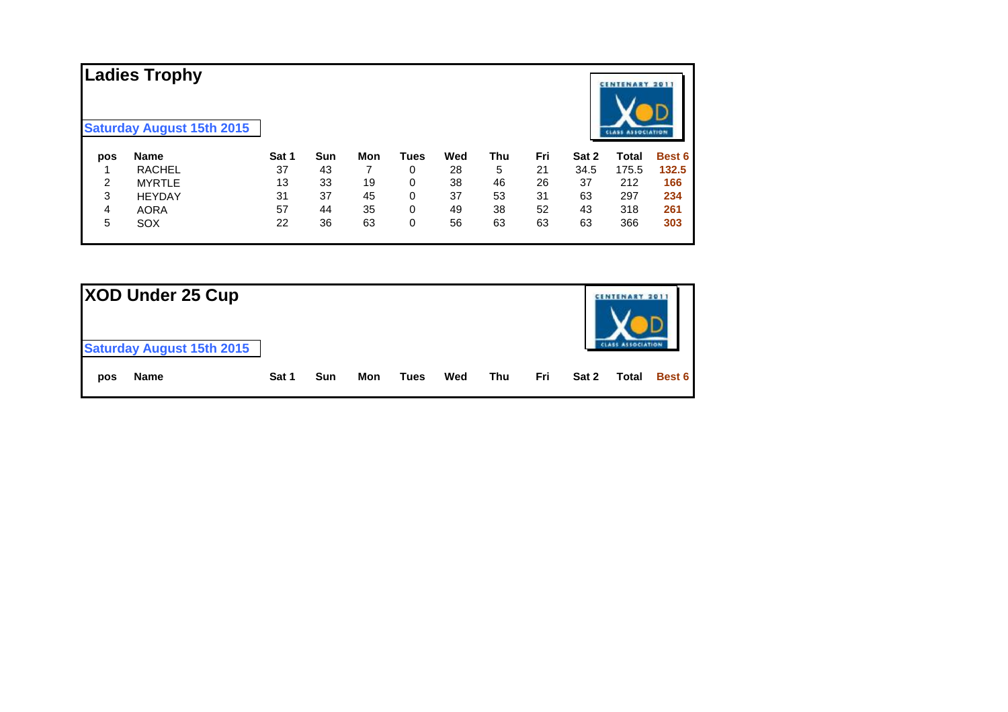|     | <b>Ladies Trophy</b><br><b>Saturday August 15th 2015</b> |       |     |     |             |     |     |     |       | <b>CENTENARY 2011</b><br><b>CLASS ASSOCIATION</b> |               |
|-----|----------------------------------------------------------|-------|-----|-----|-------------|-----|-----|-----|-------|---------------------------------------------------|---------------|
| pos | <b>Name</b>                                              | Sat 1 | Sun | Mon | <b>Tues</b> | Wed | Thu | Fri | Sat 2 | Total                                             | <b>Best 6</b> |
|     | <b>RACHEL</b>                                            | 37    | 43  |     | 0           | 28  | 5   | 21  | 34.5  | 175.5                                             | 132.5         |
| 2   | <b>MYRTLE</b>                                            | 13    | 33  | 19  | 0           | 38  | 46  | 26  | 37    | 212                                               | 166           |
| 3   | <b>HEYDAY</b>                                            | 31    | 37  | 45  | 0           | 37  | 53  | 31  | 63    | 297                                               | 234           |
| 4   | <b>AORA</b>                                              | 57    | 44  | 35  | 0           | 49  | 38  | 52  | 43    | 318                                               | 261           |
| 5   | <b>SOX</b>                                               | 22    | 36  | 63  | 0           | 56  | 63  | 63  | 63    | 366                                               | 303           |

| XOD Under 25 Cup<br><b>Saturday August 15th 2015</b> |       |     |     |      |     |     |     |       | TENARY 201 |        |
|------------------------------------------------------|-------|-----|-----|------|-----|-----|-----|-------|------------|--------|
| Name<br>pos                                          | Sat 1 | Sun | Mon | Tues | Wed | Thu | Fri | Sat 2 | Total      | Best 6 |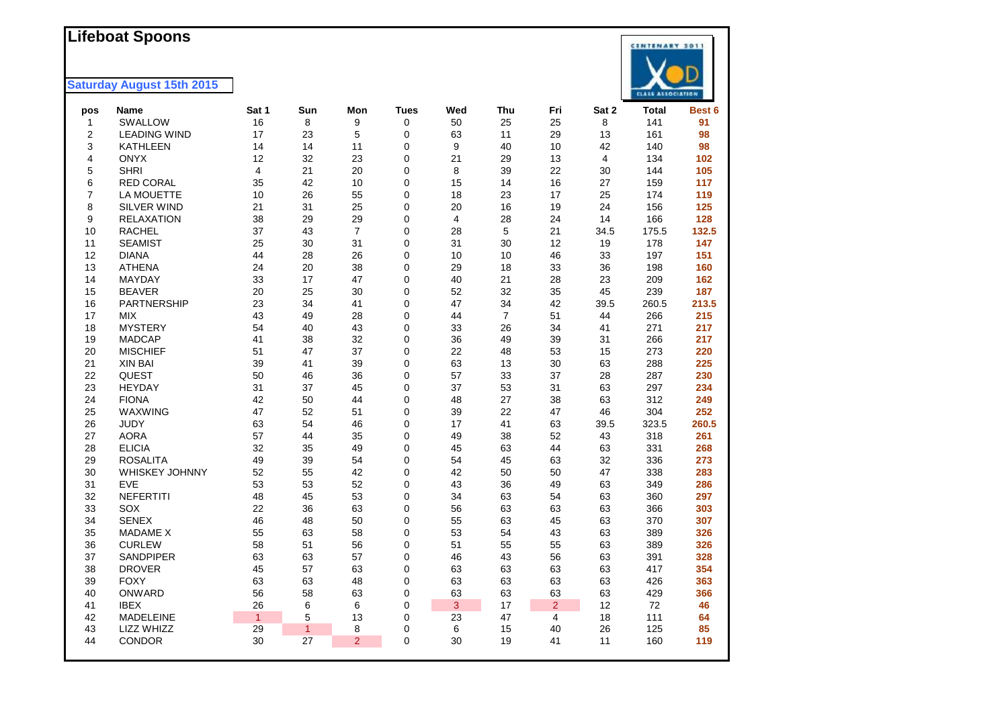#### **Lifeboat Spoons**



| pos            | Name                | Sat 1        | Sun          | Mon            | <b>Tues</b> | Wed            | Thu            | Fri            | Sat 2 | <b>Total</b> | Best 6 |
|----------------|---------------------|--------------|--------------|----------------|-------------|----------------|----------------|----------------|-------|--------------|--------|
| $\mathbf{1}$   | SWALLOW             | 16           | 8            | 9              | 0           | 50             | 25             | 25             | 8     | 141          | 91     |
| $\overline{2}$ | <b>LEADING WIND</b> | 17           | 23           | 5              | 0           | 63             | 11             | 29             | 13    | 161          | 98     |
| 3              | <b>KATHLEEN</b>     | 14           | 14           | 11             | 0           | 9              | 40             | 10             | 42    | 140          | 98     |
| 4              | <b>ONYX</b>         | 12           | 32           | 23             | 0           | 21             | 29             | 13             | 4     | 134          | 102    |
| 5              | <b>SHRI</b>         | 4            | 21           | 20             | 0           | 8              | 39             | 22             | 30    | 144          | 105    |
| 6              | <b>RED CORAL</b>    | 35           | 42           | 10             | 0           | 15             | 14             | 16             | 27    | 159          | 117    |
| $\overline{7}$ | LA MOUETTE          | 10           | 26           | 55             | 0           | 18             | 23             | 17             | 25    | 174          | 119    |
| 8              | SILVER WIND         | 21           | 31           | 25             | 0           | 20             | 16             | 19             | 24    | 156          | 125    |
| 9              | <b>RELAXATION</b>   | 38           | 29           | 29             | 0           | $\overline{4}$ | 28             | 24             | 14    | 166          | 128    |
| 10             | <b>RACHEL</b>       | 37           | 43           | $\overline{7}$ | 0           | 28             | 5              | 21             | 34.5  | 175.5        | 132.5  |
| 11             | <b>SEAMIST</b>      | 25           | 30           | 31             | 0           | 31             | 30             | 12             | 19    | 178          | 147    |
| 12             | <b>DIANA</b>        | 44           | 28           | 26             | 0           | 10             | 10             | 46             | 33    | 197          | 151    |
| 13             | <b>ATHENA</b>       | 24           | 20           | 38             | 0           | 29             | 18             | 33             | 36    | 198          | 160    |
| 14             | MAYDAY              | 33           | 17           | 47             | 0           | 40             | 21             | 28             | 23    | 209          | 162    |
| 15             | <b>BEAVER</b>       | 20           | 25           | 30             | 0           | 52             | 32             | 35             | 45    | 239          | 187    |
| 16             | <b>PARTNERSHIP</b>  | 23           | 34           | 41             | 0           | 47             | 34             | 42             | 39.5  | 260.5        | 213.5  |
| 17             | <b>MIX</b>          | 43           | 49           | 28             | 0           | 44             | $\overline{7}$ | 51             | 44    | 266          | 215    |
| 18             | <b>MYSTERY</b>      | 54           | 40           | 43             | 0           | 33             | 26             | 34             | 41    | 271          | 217    |
| 19             | <b>MADCAP</b>       | 41           | 38           | 32             | 0           | 36             | 49             | 39             | 31    | 266          | 217    |
| 20             | <b>MISCHIEF</b>     | 51           | 47           | 37             | 0           | 22             | 48             | 53             | 15    | 273          | 220    |
| 21             | <b>XIN BAI</b>      | 39           | 41           | 39             | 0           | 63             | 13             | 30             | 63    | 288          | 225    |
| 22             | <b>QUEST</b>        | 50           | 46           | 36             | 0           | 57             | 33             | 37             | 28    | 287          | 230    |
| 23             | <b>HEYDAY</b>       | 31           | 37           | 45             | 0           | 37             | 53             | 31             | 63    | 297          | 234    |
| 24             | <b>FIONA</b>        | 42           | 50           | 44             | 0           | 48             | 27             | 38             | 63    | 312          | 249    |
| 25             | WAXWING             | 47           | 52           | 51             | 0           | 39             | 22             | 47             | 46    | 304          | 252    |
| 26             | <b>JUDY</b>         | 63           | 54           | 46             | 0           | 17             | 41             | 63             | 39.5  | 323.5        | 260.5  |
| 27             | <b>AORA</b>         | 57           | 44           | 35             | 0           | 49             | 38             | 52             | 43    | 318          | 261    |
| 28             | <b>ELICIA</b>       | 32           | 35           | 49             | 0           | 45             | 63             | 44             | 63    | 331          | 268    |
| 29             | <b>ROSALITA</b>     | 49           | 39           | 54             | 0           | 54             | 45             | 63             | 32    | 336          | 273    |
| 30             | WHISKEY JOHNNY      | 52           | 55           | 42             | 0           | 42             | 50             | 50             | 47    | 338          | 283    |
| 31             | <b>EVE</b>          | 53           | 53           | 52             | 0           | 43             | 36             | 49             | 63    | 349          | 286    |
| 32             | <b>NEFERTITI</b>    | 48           | 45           | 53             | 0           | 34             | 63             | 54             | 63    | 360          | 297    |
| 33             | SOX                 | 22           | 36           | 63             | 0           | 56             | 63             | 63             | 63    | 366          | 303    |
| 34             | <b>SENEX</b>        | 46           | 48           | 50             | 0           | 55             | 63             | 45             | 63    | 370          | 307    |
| 35             | <b>MADAME X</b>     | 55           | 63           | 58             | 0           | 53             | 54             | 43             | 63    | 389          | 326    |
| 36             | <b>CURLEW</b>       | 58           | 51           | 56             | 0           | 51             | 55             | 55             | 63    | 389          | 326    |
| 37             | <b>SANDPIPER</b>    | 63           | 63           | 57             | 0           | 46             | 43             | 56             | 63    | 391          | 328    |
| 38             | <b>DROVER</b>       | 45           | 57           | 63             | 0           | 63             | 63             | 63             | 63    | 417          | 354    |
| 39             | <b>FOXY</b>         | 63           | 63           | 48             | 0           | 63             | 63             | 63             | 63    | 426          | 363    |
| 40             | <b>ONWARD</b>       | 56           | 58           | 63             | 0           | 63             | 63             | 63             | 63    | 429          | 366    |
| 41             | <b>IBEX</b>         | 26           | 6            | 6              | 0           | 3              | 17             | $\overline{2}$ | 12    | 72           | 46     |
| 42             | <b>MADELEINE</b>    | $\mathbf{1}$ | 5            | 13             | 0           | 23             | $47\,$         | $\overline{4}$ | 18    | 111          | 64     |
| 43             | LIZZ WHIZZ          | 29           | $\mathbf{1}$ | 8              | 0           | 6              | 15             | 40             | 26    | 125          | 85     |
| 44             | CONDOR              | 30           | 27           | $\overline{2}$ | 0           | 30             | 19             | 41             | 11    | 160          | 119    |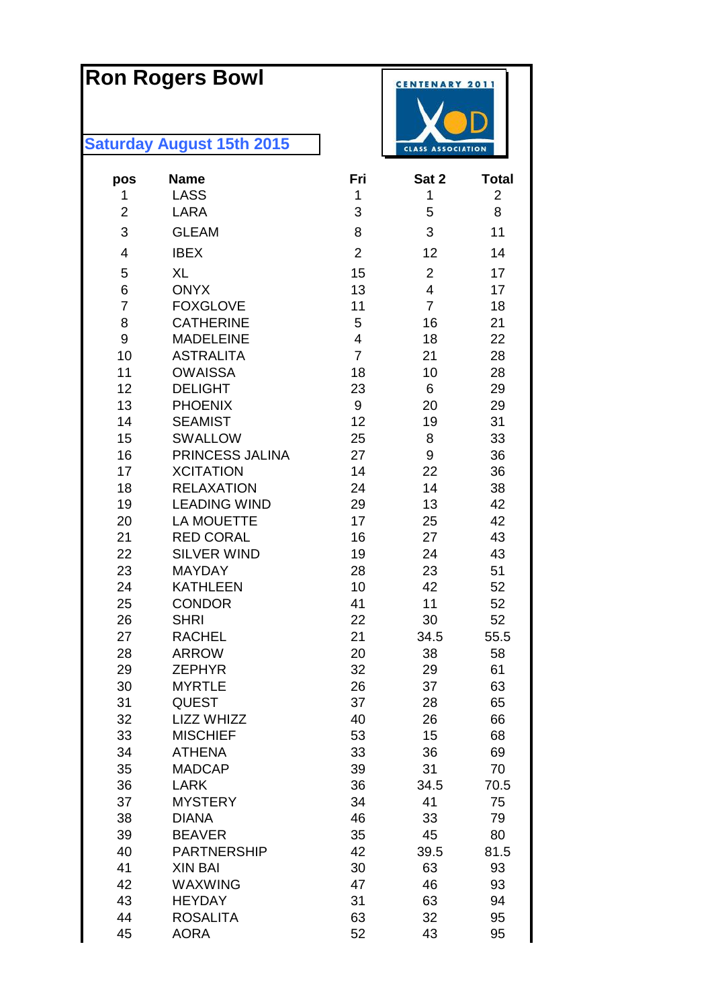# **Ron Rogers Bowl**

| pos            | <b>Name</b>                  | Fri            | Sat 2                   | <b>Total</b>   |
|----------------|------------------------------|----------------|-------------------------|----------------|
| 1              | <b>LASS</b>                  | 1              | 1                       | $\overline{2}$ |
| 2              | <b>LARA</b>                  | 3              | 5                       | 8              |
| 3              | <b>GLEAM</b>                 | 8              | 3                       | 11             |
| 4              | <b>IBEX</b>                  | $\overline{2}$ | 12                      | 14             |
| 5              | <b>XL</b>                    | 15             | $\overline{2}$          | 17             |
| 6              | <b>ONYX</b>                  | 13             | $\overline{\mathbf{4}}$ | 17             |
| $\overline{7}$ | <b>FOXGLOVE</b>              | 11             | $\overline{7}$          | 18             |
| 8              | <b>CATHERINE</b>             | 5              | 16                      | 21             |
| 9              | <b>MADELEINE</b>             | 4              | 18                      | 22             |
| 10             | <b>ASTRALITA</b>             | $\overline{7}$ | 21                      | 28             |
| 11             | <b>OWAISSA</b>               | 18             | 10                      | 28             |
| 12             | <b>DELIGHT</b>               | 23             | 6                       | 29             |
| 13             | <b>PHOENIX</b>               | 9              | 20                      | 29             |
| 14             | <b>SEAMIST</b>               | 12             | 19                      | 31             |
| 15             | <b>SWALLOW</b>               | 25             | 8                       | 33             |
| 16             | PRINCESS JALINA              | 27             | 9                       | 36             |
| 17             | <b>XCITATION</b>             | 14             | 22                      | 36             |
| 18             | <b>RELAXATION</b>            | 24             | 14                      | 38             |
| 19             | <b>LEADING WIND</b>          | 29             | 13                      | 42             |
| 20             | <b>LA MOUETTE</b>            | 17             | 25                      | 42             |
| 21             | <b>RED CORAL</b>             | 16             | 27                      | 43             |
| 22             | <b>SILVER WIND</b>           | 19             | 24                      | 43             |
| 23             | <b>MAYDAY</b>                | 28             | 23                      | 51             |
| 24             | <b>KATHLEEN</b>              | 10             | 42                      | 52             |
| 25             | <b>CONDOR</b>                | 41             | 11                      | 52             |
| 26<br>27       | <b>SHRI</b><br><b>RACHEL</b> | 22             | 30                      | 52             |
| 28             | <b>ARROW</b>                 | 21<br>20       | 34.5                    | 55.5           |
| 29             | <b>ZEPHYR</b>                | 32             | 38<br>29                | 58             |
| 30             | <b>MYRTLE</b>                | 26             | 37                      | 61<br>63       |
| 31             | QUEST                        | 37             | 28                      | 65             |
| 32             | LIZZ WHIZZ                   | 40             | 26                      | 66             |
| 33             | <b>MISCHIEF</b>              | 53             | 15                      | 68             |
| 34             | <b>ATHENA</b>                | 33             | 36                      | 69             |
| 35             | <b>MADCAP</b>                | 39             | 31                      | 70             |
| 36             | <b>LARK</b>                  | 36             | 34.5                    | 70.5           |
| 37             | <b>MYSTERY</b>               | 34             | 41                      | 75             |
| 38             | <b>DIANA</b>                 | 46             | 33                      | 79             |
| 39             | <b>BEAVER</b>                | 35             | 45                      | 80             |
| 40             | <b>PARTNERSHIP</b>           | 42             | 39.5                    | 81.5           |
| 41             | <b>XIN BAI</b>               | 30             | 63                      | 93             |
| 42             | WAXWING                      | 47             | 46                      | 93             |
| 43             | <b>HEYDAY</b>                | 31             | 63                      | 94             |
| 44             | <b>ROSALITA</b>              | 63             | 32                      | 95             |
| 45             | <b>AORA</b>                  | 52             | 43                      | 95             |

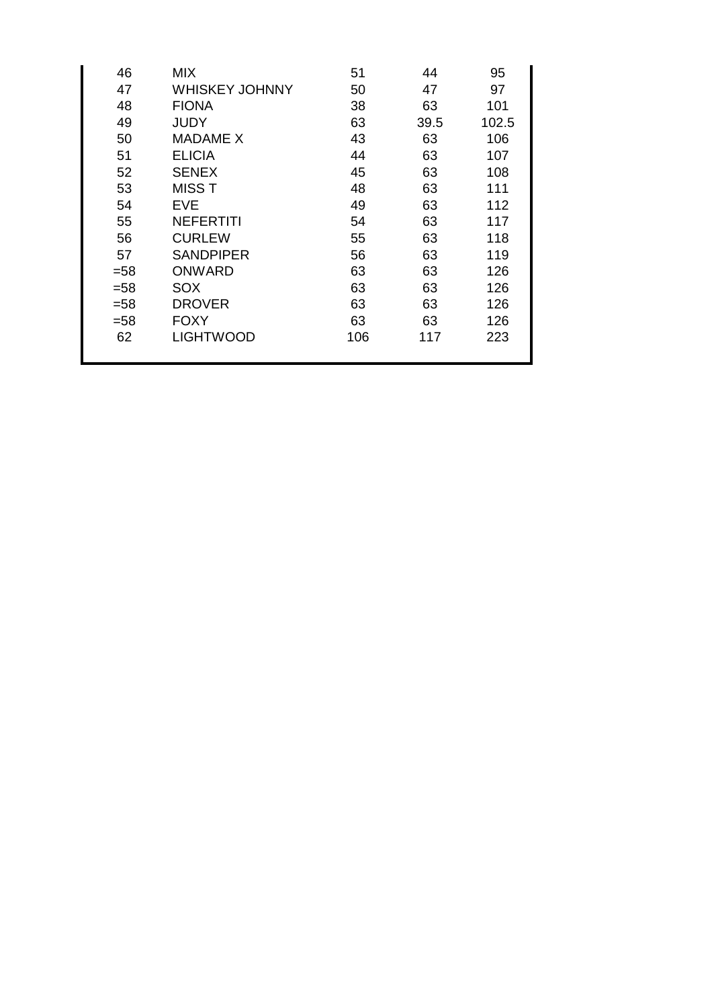| 46     | <b>MIX</b>            | 51  | 44   | 95    |
|--------|-----------------------|-----|------|-------|
| 47     | <b>WHISKEY JOHNNY</b> | 50  | 47   | 97    |
| 48     | <b>FIONA</b>          | 38  | 63   | 101   |
| 49     | <b>JUDY</b>           | 63  | 39.5 | 102.5 |
| 50     | <b>MADAME X</b>       | 43  | 63   | 106   |
| 51     | <b>ELICIA</b>         | 44  | 63   | 107   |
| 52     | <b>SENEX</b>          | 45  | 63   | 108   |
| 53     | <b>MISST</b>          | 48  | 63   | 111   |
| 54     | <b>EVE</b>            | 49  | 63   | 112   |
| 55     | <b>NEFERTITI</b>      | 54  | 63   | 117   |
| 56     | <b>CURLEW</b>         | 55  | 63   | 118   |
| 57     | <b>SANDPIPER</b>      | 56  | 63   | 119   |
| $= 58$ | <b>ONWARD</b>         | 63  | 63   | 126   |
| $= 58$ | <b>SOX</b>            | 63  | 63   | 126   |
| $= 58$ | <b>DROVER</b>         | 63  | 63   | 126   |
| $= 58$ | <b>FOXY</b>           | 63  | 63   | 126   |
| 62     | <b>LIGHTWOOD</b>      | 106 | 117  | 223   |
|        |                       |     |      |       |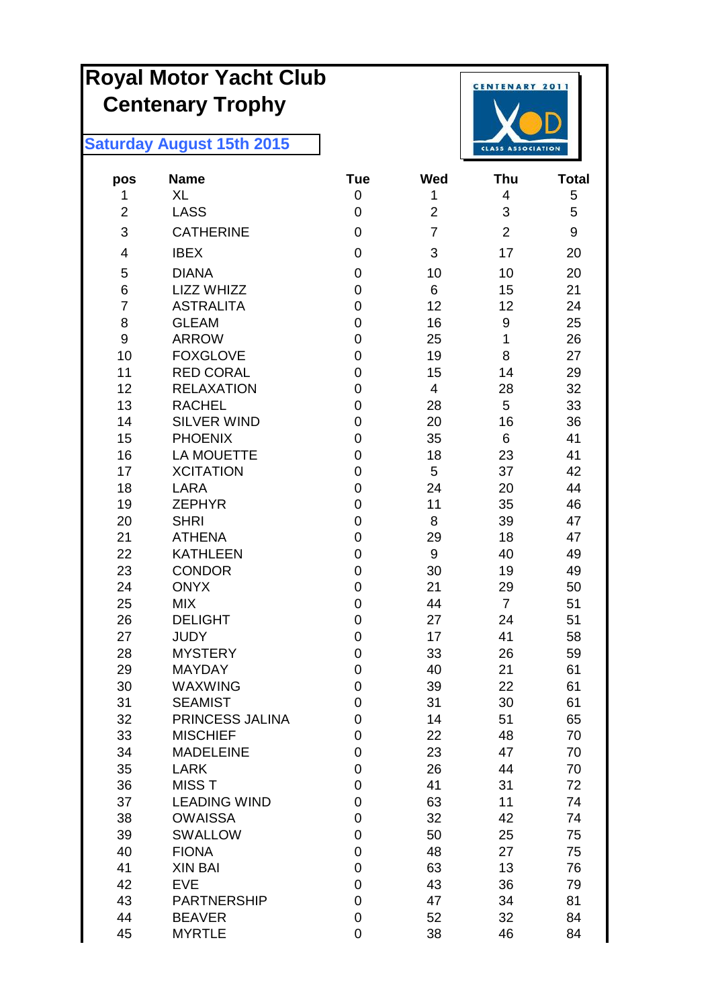# **Royal Motor Yacht Club Centenary Trophy**



| pos            | <b>Name</b>               | <b>Tue</b>       | <b>Wed</b>     | Thu                  | <b>Total</b> |
|----------------|---------------------------|------------------|----------------|----------------------|--------------|
| 1              | XL                        | 0                | 1              | 4                    | 5            |
| $\overline{2}$ | <b>LASS</b>               | $\pmb{0}$        | $\overline{2}$ | 3                    | 5            |
| 3              | <b>CATHERINE</b>          | $\mathbf 0$      | $\overline{7}$ | $\overline{2}$       | 9            |
| 4              | <b>IBEX</b>               | $\mathbf 0$      | 3              | 17                   | 20           |
| 5              | <b>DIANA</b>              | 0                | 10             | 10                   | 20           |
| 6              | <b>LIZZ WHIZZ</b>         | $\mathbf 0$      | 6              | 15                   | 21           |
| $\overline{7}$ | <b>ASTRALITA</b>          | $\boldsymbol{0}$ | 12             | 12                   | 24           |
| 8              | <b>GLEAM</b>              | $\mathbf 0$      | 16             | 9                    | 25           |
| 9              | <b>ARROW</b>              | $\mathbf 0$      | 25             | $\mathbf{1}$         | 26           |
| 10             | <b>FOXGLOVE</b>           | $\boldsymbol{0}$ | 19             | 8                    | 27           |
| 11             | <b>RED CORAL</b>          | $\mathbf 0$      | 15             | 14                   | 29           |
| 12             | <b>RELAXATION</b>         | $\mathbf 0$      | $\overline{4}$ | 28                   | 32           |
| 13             | <b>RACHEL</b>             | $\mathbf 0$      | 28             | 5                    | 33           |
| 14             | <b>SILVER WIND</b>        | $\pmb{0}$        | 20             | 16                   | 36           |
| 15             | <b>PHOENIX</b>            | 0                | 35             | 6                    | 41           |
| 16             | <b>LA MOUETTE</b>         | $\mathbf 0$      | 18             | 23                   | 41           |
| 17             | <b>XCITATION</b>          | $\mathbf 0$      | 5              | 37                   | 42           |
| 18             | <b>LARA</b>               | $\mathbf 0$      | 24             | 20                   | 44           |
| 19             | <b>ZEPHYR</b>             | $\mathbf 0$      | 11             | 35                   | 46           |
| 20             | <b>SHRI</b>               | $\pmb{0}$        | 8              | 39                   | 47           |
| 21             | <b>ATHENA</b>             | $\pmb{0}$        | 29             | 18                   | 47           |
| 22             | <b>KATHLEEN</b>           | 0                | 9              | 40                   | 49           |
| 23             | <b>CONDOR</b>             | $\mathbf 0$      | 30             | 19                   | 49           |
| 24<br>25       | <b>ONYX</b><br><b>MIX</b> | $\pmb{0}$<br>0   | 21<br>44       | 29<br>$\overline{7}$ | 50<br>51     |
| 26             | <b>DELIGHT</b>            | $\overline{0}$   | 27             | 24                   | 51           |
| 27             | <b>JUDY</b>               | $\boldsymbol{0}$ | 17             | 41                   | 58           |
| 28             | <b>MYSTERY</b>            | $\pmb{0}$        | 33             | 26                   | 59           |
| 29             | <b>MAYDAY</b>             | $\mathbf 0$      | 40             | 21                   | 61           |
| 30             | <b>WAXWING</b>            | $\mathbf 0$      | 39             | 22                   | 61           |
| 31             | <b>SEAMIST</b>            | $\pmb{0}$        | 31             | 30                   | 61           |
| 32             | PRINCESS JALINA           | 0                | 14             | 51                   | 65           |
| 33             | <b>MISCHIEF</b>           | $\mathbf 0$      | 22             | 48                   | 70           |
| 34             | <b>MADELEINE</b>          | 0                | 23             | 47                   | 70           |
| 35             | <b>LARK</b>               | 0                | 26             | 44                   | 70           |
| 36             | <b>MISST</b>              | $\mathbf 0$      | 41             | 31                   | 72           |
| 37             | <b>LEADING WIND</b>       | 0                | 63             | 11                   | 74           |
| 38             | <b>OWAISSA</b>            | 0                | 32             | 42                   | 74           |
| 39             | <b>SWALLOW</b>            | 0                | 50             | 25                   | 75           |
| 40             | <b>FIONA</b>              | 0                | 48             | 27                   | 75           |
| 41             | <b>XIN BAI</b>            | 0                | 63             | 13                   | 76           |
| 42             | <b>EVE</b>                | 0                | 43             | 36                   | 79           |
| 43             | <b>PARTNERSHIP</b>        | 0                | 47             | 34                   | 81           |
| 44             | <b>BEAVER</b>             | 0                | 52             | 32                   | 84           |
| 45             | <b>MYRTLE</b>             | 0                | 38             | 46                   | 84           |